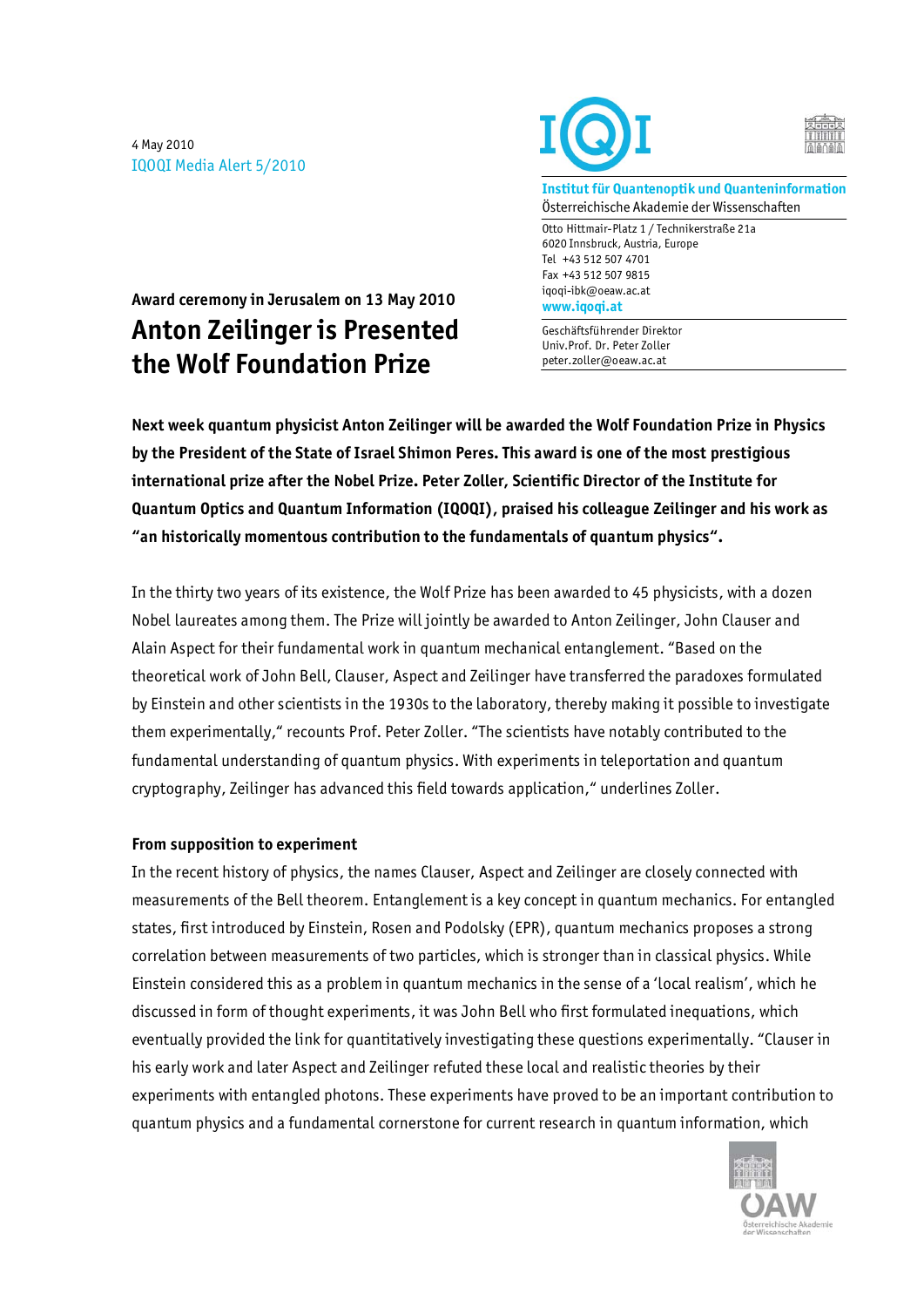4 May 2010 IQOQI Media Alert 5/2010





**Institut für Quantenoptik und Quanteninformation**  Österreichische Akademie der Wissenschaften

Otto Hittmair-Platz 1 / Technikerstraße 21a 6020 Innsbruck, Austria, Europe Tel +43 512 507 4701 Fax +43 512 507 9815 iqoqi-ibk@oeaw.ac.at **www.iqoqi.at** 

Geschäftsführender Direktor Univ.Prof. Dr. Peter Zoller peter.zoller@oeaw.ac.at

**Award ceremony in Jerusalem on 13 May 2010 Anton Zeilinger is Presented the Wolf Foundation Prize** 

**Next week quantum physicist Anton Zeilinger will be awarded the Wolf Foundation Prize in Physics by the President of the State of Israel Shimon Peres. This award is one of the most prestigious international prize after the Nobel Prize. Peter Zoller, Scientific Director of the Institute for Quantum Optics and Quantum Information (IQOQI), praised his colleague Zeilinger and his work as "an historically momentous contribution to the fundamentals of quantum physics".** 

In the thirty two years of its existence, the Wolf Prize has been awarded to 45 physicists, with a dozen Nobel laureates among them. The Prize will jointly be awarded to Anton Zeilinger, John Clauser and Alain Aspect for their fundamental work in quantum mechanical entanglement. "Based on the theoretical work of John Bell, Clauser, Aspect and Zeilinger have transferred the paradoxes formulated by Einstein and other scientists in the 1930s to the laboratory, thereby making it possible to investigate them experimentally," recounts Prof. Peter Zoller. "The scientists have notably contributed to the fundamental understanding of quantum physics. With experiments in teleportation and quantum cryptography, Zeilinger has advanced this field towards application," underlines Zoller.

## **From supposition to experiment**

In the recent history of physics, the names Clauser, Aspect and Zeilinger are closely connected with measurements of the Bell theorem. Entanglement is a key concept in quantum mechanics. For entangled states, first introduced by Einstein, Rosen and Podolsky (EPR), quantum mechanics proposes a strong correlation between measurements of two particles, which is stronger than in classical physics. While Einstein considered this as a problem in quantum mechanics in the sense of a 'local realism', which he discussed in form of thought experiments, it was John Bell who first formulated inequations, which eventually provided the link for quantitatively investigating these questions experimentally. "Clauser in his early work and later Aspect and Zeilinger refuted these local and realistic theories by their experiments with entangled photons. These experiments have proved to be an important contribution to quantum physics and a fundamental cornerstone for current research in quantum information, which